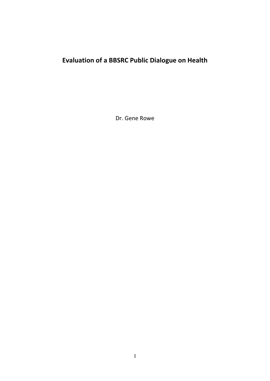# **Evaluation of a BBSRC Public Dialogue on Health**

Dr. Gene Rowe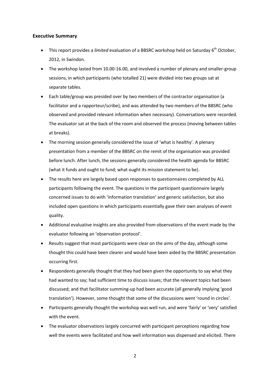## **Executive Summary**

- This report provides a *limited* evaluation of a BBSRC workshop held on Saturday 6<sup>th</sup> October, 2012, in Swindon.
- The workshop lasted from 10.00-16.00, and involved a number of plenary and smaller-group sessions, in which participants (who totalled 21) were divided into two groups sat at separate tables.
- Each table/group was presided over by two members of the contractor organisation (a facilitator and a rapporteur/scribe), and was attended by two members of the BBSRC (who observed and provided relevant information when necessary). Conversations were recorded. The evaluator sat at the back of the room and observed the process (moving between tables at breaks).
- The morning session generally considered the issue of 'what is healthy'. A plenary presentation from a member of the BBSRC on the remit of the organisation was provided before lunch. After lunch, the sessions generally considered the health agenda for BBSRC (what it funds and ought to fund; what ought its mission statement to be).
- The results here are largely based upon responses to questionnaires completed by ALL participants following the event. The questions in the participant questionnaire largely concerned issues to do with 'information translation' and generic satisfaction, but also included open questions in which participants essentially gave their own analyses of event quality.
- Additional evaluative insights are also provided from observations of the event made by the evaluator following an 'observation protocol'.
- Results suggest that most participants were clear on the aims of the day, although some thought this could have been clearer and would have been aided by the BBSRC presentation occurring first.
- Respondents generally thought that they had been given the opportunity to say what they had wanted to say; had sufficient time to discuss issues; that the relevant topics had been discussed; and that facilitator summing-up had been accurate (all generally implying 'good translation'). However, some thought that some of the discussions went 'round in circles'.
- Participants generally thought the workshop was well run, and were 'fairly' or 'very' satisfied with the event.
- The evaluator observations largely concurred with participant perceptions regarding how well the events were facilitated and how well information was dispensed and elicited. There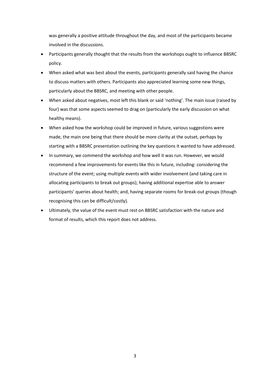was generally a positive attitude throughout the day, and most of the participants became involved in the discussions.

- Participants generally thought that the results from the workshops ought to influence BBSRC policy.
- When asked what was best about the events, participants generally said having the chance to discuss matters with others. Participants also appreciated learning some new things, particularly about the BBSRC, and meeting with other people.
- When asked about negatives, most left this blank or said 'nothing'. The main issue (raised by four) was that some aspects seemed to drag on (particularly the early discussion on what healthy means).
- When asked how the workshop could be improved in future, various suggestions were made, the main one being that there should be more clarity at the outset, perhaps by starting with a BBSRC presentation outlining the key questions it wanted to have addressed.
- In summary, we commend the workshop and how well it was run. However, we would recommend a few improvements for events like this in future, including: considering the structure of the event; using multiple events with wider involvement (and taking care in allocating participants to break out groups); having additional expertise able to answer participants' queries about health; and, having separate rooms for break-out groups (though recognising this can be difficult/costly).
- Ultimately, the value of the event must rest on BBSRC satisfaction with the nature and format of results, which this report does not address.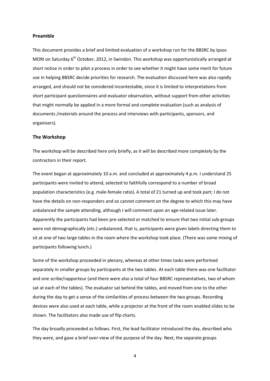## **Preamble**

This document provides a brief and limited evaluation of a workshop run for the BBSRC by Ipsos MORI on Saturday  $6<sup>th</sup>$  October, 2012, in Swindon. This workshop was opportunistically arranged at short notice in order to pilot a process in order to see whether it might have some merit for future use in helping BBSRC decide priorities for research. The evaluation discussed here was also rapidly arranged, and should not be considered incontestable, since it is limited to interpretations from short participant questionnaires and evaluator observation, without support from other activities that might normally be applied in a more formal and complete evaluation (such as analysis of documents /materials around the process and interviews with participants, sponsors, and organisers).

#### **The Workshop**

The workshop will be described here only briefly, as it will be described more completely by the contractors in their report.

The event began at approximately 10 a.m. and concluded at approximately 4 p.m. I understand 25 participants were invited to attend, selected to faithfully correspond to a number of broad population characteristics (e.g. male-female ratio). A total of 21 turned up and took part; I do not have the details on non-responders and so cannot comment on the degree to which this may have unbalanced the sample attending, although I will comment upon an age-related issue later. Apparently the participants had been pre-selected or matched to ensure that two initial sub-groups were not demographically (etc.) unbalanced, that is, participants were given labels directing them to sit at one of two large tables in the room where the workshop took place. (There was some mixing of participants following lunch.)

Some of the workshop proceeded in plenary, whereas at other times tasks were performed separately in smaller groups by participants at the two tables. At each table there was one facilitator and one scribe/rapporteur (and there were also a total of four BBSRC representatives, two of whom sat at each of the tables). The evaluator sat behind the tables, and moved from one to the other during the day to get a sense of the similarities of process between the two groups. Recording devices were also used at each table, while a projector at the front of the room enabled slides to be shown. The facilitators also made use of flip charts.

The day broadly proceeded as follows. First, the lead facilitator introduced the day, described who they were, and gave a brief over-view of the purpose of the day. Next, the separate groups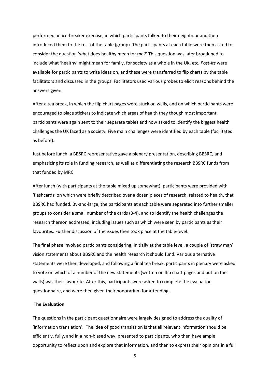performed an ice-breaker exercise, in which participants talked to their neighbour and then introduced them to the rest of the table (group). The participants at each table were then asked to consider the question 'what does healthy mean for me?' This question was later broadened to include what 'healthy' might mean for family, for society as a whole in the UK, etc. *Post-its* were available for participants to write ideas on, and these were transferred to flip charts by the table facilitators and discussed in the groups. Facilitators used various probes to elicit reasons behind the answers given.

After a tea break, in which the flip chart pages were stuck on walls, and on which participants were encouraged to place stickers to indicate which areas of health they though most important, participants were again sent to their separate tables and now asked to identify the biggest health challenges the UK faced as a society. Five main challenges were identified by each table (facilitated as before).

Just before lunch, a BBSRC representative gave a plenary presentation, describing BBSRC, and emphasizing its role in funding research, as well as differentiating the research BBSRC funds from that funded by MRC.

After lunch (with participants at the table mixed up somewhat), participants were provided with 'flashcards' on which were briefly described over a dozen pieces of research, related to health, that BBSRC had funded. By-and-large, the participants at each table were separated into further smaller groups to consider a small number of the cards (3-4), and to identify the health challenges the research thereon addressed, including issues such as which were seen by participants as their favourites. Further discussion of the issues then took place at the table-level.

The final phase involved participants considering, initially at the table level, a couple of 'straw man' vision statements about BBSRC and the health research it should fund. Various alternative statements were then developed, and following a final tea break, participants in plenary were asked to vote on which of a number of the new statements (written on flip chart pages and put on the walls) was their favourite. After this, participants were asked to complete the evaluation questionnaire, and were then given their honorarium for attending.

#### **The Evaluation**

The questions in the participant questionnaire were largely designed to address the quality of 'information translation'. The idea of good translation is that all relevant information should be efficiently, fully, and in a non-biased way, presented to participants, who then have ample opportunity to reflect upon and explore that information, and then to express their opinions in a full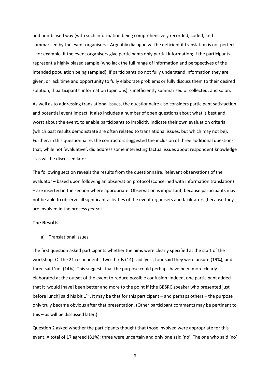and non-biased way (with such information being comprehensively recorded, coded, and summarised by the event organisers). Arguably dialogue will be deficient if translation is not perfect – for example, if the event organisers give participants only partial information; if the participants represent a highly biased sample (who lack the full range of information and perspectives of the intended population being sampled); if participants do not fully understand information they are given, or lack time and opportunity to fully elaborate problems or fully discuss them to their desired solution; if participants' information (opinions) is inefficiently summarised or collected; and so on.

As well as to addressing translational issues, the questionnaire also considers participant satisfaction and potential event impact. It also includes a number of open questions about what is best and worst about the event, to enable participants to implicitly indicate their own evaluation criteria (which past results demonstrate are often related to translational issues, but which may not be). Further, in this questionnaire, the contractors suggested the inclusion of three additional questions that, while not 'evaluative', did address some interesting factual issues about respondent knowledge – as will be discussed later.

The following section reveals the results from the questionnaire. Relevant observations of the evaluator – based upon following an observation protocol (concerned with information translation) – are inserted in the section where appropriate. Observation is important, because participants may not be able to observe all significant activities of the event organisers and facilitators (because they are involved in the process *per se*).

### **The Results**

a) Translational issues

The first question asked participants whether the aims were clearly specified at the start of the workshop. Of the 21 respondents, two-thirds (14) said 'yes', four said they were unsure (19%), and three said 'no' (14%). This suggests that the purpose could perhaps have been more clearly elaborated at the outset of the event to reduce possible confusion. Indeed, one participant added that it 'would [have] been better and more to the point if [the BBSRC speaker who presented just before lunch] said his bit  $1^{st}$ . It may be that for this participant – and perhaps others – the purpose only truly became obvious after that presentation. (Other participant comments may be pertinent to this – as will be discussed later.)

Question 2 asked whether the participants thought that those involved were appropriate for this event. A total of 17 agreed (81%); three were uncertain and only one said 'no'. The one who said 'no'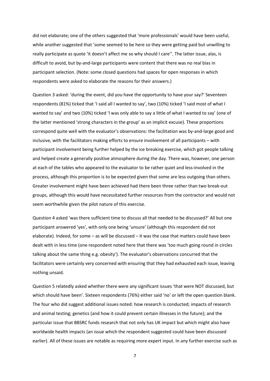did not elaborate; one of the others suggested that 'more professionals' would have been useful, while another suggested that 'some seemed to be here so they were getting paid but unwilling to really participate as quote 'it doesn't affect me so why should I care''. The latter issue, alas, is difficult to avoid, but by-and-large participants were content that there was no real bias in participant selection. (Note: some closed questions had spaces for open responses in which respondents were asked to elaborate the reasons for their answers.)

Question 3 asked: 'during the event, did you have the opportunity to have your say?' Seventeen respondents (81%) ticked that 'I said all I wanted to say', two (10%) ticked 'I said most of what I wanted to say' and two (10%) ticked 'I was only able to say a little of what I wanted to say' (one of the latter mentioned 'strong characters in the group' as an implicit excuse). These proportions correspond quite well with the evaluator's observations: the facilitation was by-and-large good and inclusive, with the facilitators making efforts to ensure involvement of all participants – with participant involvement being further helped by the ice breaking exercise, which got people talking and helped create a generally positive atmosphere during the day. There was, however, one person at each of the tables who appeared to the evaluator to be rather quiet and less-involved in the process, although this proportion is to be expected given that some are less outgoing than others. Greater involvement might have been achieved had there been three rather than two break-out groups, although this would have necessitated further resources from the contractor and would not seem worthwhile given the pilot nature of this exercise.

Question 4 asked 'was there sufficient time to discuss all that needed to be discussed?' All but one participant answered 'yes', with only one being 'unsure' (although this respondent did not elaborate). Indeed, for some – as will be discussed – it was the case that matters could have been dealt with in less time (one respondent noted here that there was 'too much going round in circles talking about the same thing e.g. obesity'). The evaluator's observations concurred that the facilitators were certainly very concerned with ensuring that they had exhausted each issue, leaving nothing unsaid.

Question 5 relatedly asked whether there were any significant issues 'that were NOT discussed, but which should have been'. Sixteen respondents (76%) either said 'no' or left the open question blank. The four who did suggest additional issues noted: how research is conducted; impacts of research and animal testing; genetics (and how it could prevent certain illnesses in the future); and the particular issue that BBSRC funds research that not only has UK impact but which might also have worldwide health impacts (an issue which the respondent suggested could have been discussed earlier). All of these issues are notable as requiring more expert input. In any further exercise such as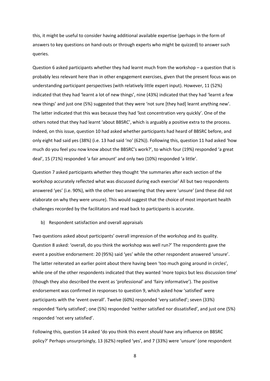this, it might be useful to consider having additional available expertise (perhaps in the form of answers to key questions on hand-outs or through experts who might be quizzed) to answer such queries.

Question 6 asked participants whether they had learnt much from the workshop – a question that is probably less relevant here than in other engagement exercises, given that the present focus was on understanding participant perspectives (with relatively little expert input). However, 11 (52%) indicated that they had 'learnt a lot of new things', nine (43%) indicated that they had 'learnt a few new things' and just one (5%) suggested that they were 'not sure [they had] learnt anything new'. The latter indicated that this was because they had 'lost concentration very quickly'. One of the others noted that they had learnt 'about BBSRC', which is arguably a positive extra to the process. Indeed, on this issue, question 10 had asked whether participants had heard of BBSRC before, and only eight had said yes (38%) (i.e. 13 had said 'no' (62%)). Following this, question 11 had asked 'how much do you feel you now know about the BBSRC's work?', to which four (19%) responded 'a great deal', 15 (71%) responded 'a fair amount' and only two (10%) responded 'a little'.

Question 7 asked participants whether they thought 'the summaries after each section of the workshop accurately reflected what was discussed during each exercise' All but two respondents answered 'yes' (i.e. 90%), with the other two answering that they were 'unsure' (and these did not elaborate on why they were unsure). This would suggest that the choice of most important health challenges recorded by the facilitators and read back to participants is accurate.

b) Respondent satisfaction and overall appraisals

Two questions asked about participants' overall impression of the workshop and its quality. Question 8 asked: 'overall, do you think the workshop was well run?' The respondents gave the event a positive endorsement: 20 (95%) said 'yes' while the other respondent answered 'unsure'. The latter reiterated an earlier point about there having been 'too much going around in circles', while one of the other respondents indicated that they wanted 'more topics but less discussion time' (though they also described the event as 'professional' and 'fairy informative'). The positive endorsement was confirmed in responses to question 9, which asked how 'satisfied' were participants with the 'event overall'. Twelve (60%) responded 'very satisfied'; seven (33%) responded 'fairly satisfied'; one (5%) responded 'neither satisfied nor dissatisfied', and just one (5%) responded 'not very satisfied'.

Following this, question 14 asked 'do you think this event *should* have any influence on BBSRC policy?' Perhaps unsurprisingly, 13 (62%) replied 'yes', and 7 (33%) were 'unsure' (one respondent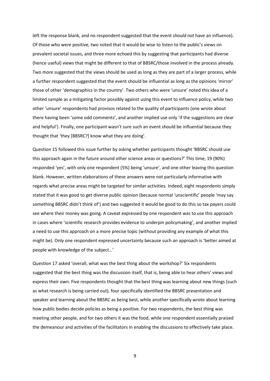left the response blank, and no respondent suggested that the event *should not* have an influence). Of those who were positive, two noted that it would be wise to listen to the public's views on prevalent societal issues, and three more echoed this by suggesting that participants had diverse (hence useful) views that might be different to that of BBSRC/those involved in the process already. Two more suggested that the views should be used as long as they are part of a larger process, while a further respondent suggested that the event should be influential as long as the opinions 'mirror' those of other 'demographics in the country'. Two others who were 'unsure' noted this idea of a limited sample as a mitigating factor possibly against using this event to influence policy, while two other 'unsure' respondents had provisos related to the quality of participants (one wrote about there having been 'some odd comments', and another implied use only 'if the suggestions are clear and helpful'). Finally, one participant wasn't sure such an event should be influential because they thought that 'they [BBSRC?] know what they are doing'.

Question 15 followed this issue further by asking whether participants thought 'BBSRC should use this approach again in the future around other science areas or questions?' This time, 19 (90%) responded 'yes', with only one respondent (5%) being 'unsure', and one other leaving this question blank. However, written elaborations of these answers were not particularly informative with regards what precise areas might be targeted for similar activities. Indeed, eight respondents simply stated that it was good to get diverse public opinion (because normal 'unscientific' people 'may say something BBSRC didn't think of') and two suggested it would be good to do this so tax payers could see where their money was going. A caveat expressed by one respondent was to use this approach in cases where 'scientific research provides evidence to underpin policymaking', and another implied a need to use this approach on a more precise topic (without providing any example of what this might be). Only one respondent expressed uncertainty because such an approach is 'better aimed at people with knowledge of the subject…'

Question 17 asked 'overall, what was the best thing about the workshop?' Six respondents suggested that the best thing was the discussion itself, that is, being able to hear others' views and express their own. Five respondents thought that the best thing was learning about new things (such as what research is being carried out), four specifically identified the BBSRC presentation and speaker and learning about the BBSRC as being best, while another specifically wrote about learning how public bodies decide policies as being a positive. For two respondents, the best thing was meeting other people, and for two others it was the food, while one respondent essentially praised the demeanour and activities of the facilitators in enabling the discussions to effectively take place.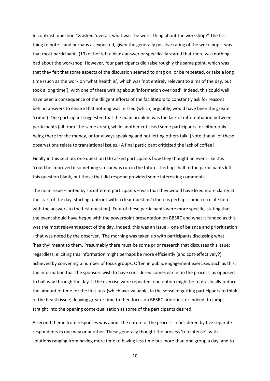In contrast, question 18 asked 'overall, what was the worst thing about the workshop?' The first thing to note – and perhaps as expected, given the generally positive rating of the workshop – was that most participants (13) either left a blank answer or specifically stated that there was nothing bad about the workshop. However, four participants did raise roughly the same point, which was that they felt that some aspects of the discussion seemed to drag on, or be repeated, or take a long time (such as the work on 'what health is', which was 'not entirely relevant to aims of the day, but took a long time'), with one of these writing about 'information overload'. Indeed, this could well have been a consequence of the diligent efforts of the facilitators to constantly ask for reasons behind answers to ensure that nothing was missed (which, arguably, would have been the greater 'crime'). One participant suggested that the main problem was the lack of differentiation between participants (all from 'the same area'), while another criticised some participants for either only being there for the money, or for always speaking and not letting others talk. (Note that all of these observations relate to translational issues.) A final participant criticized the lack of coffee!

Finally in this section, one question (16) asked participants how they thought an event like this 'could be improved if something similar was run in the future'. Perhaps half of the participants left this question blank, but those that did respond provided some interesting comments.

The main issue – noted by six different participants – was that they would have liked more clarity at the start of the day, starting 'upfront with a clear question' (there is perhaps some correlate here with the answers to the first question). Four of these participants were more specific, stating that the event should have *begun* with the powerpoint presentation on BBSRC and what it funded as this was the most relevant aspect of the day. Indeed, this was an issue – one of balance and prioritisation - that was noted by the observer. The morning was taken up with participants discussing what 'healthy' meant to them. Presumably there must be some prior research that discusses this issue; regardless, eliciting this information might perhaps be more efficiently (and cost-effectively?) achieved by convening a number of focus groups. Often in public engagement exercises such as this, the information that the sponsors wish to have considered comes earlier in the process, as opposed to half way through the day. If the exercise were repeated, one option might be to drastically reduce the amount of time for the first task (which *was* valuable, in the sense of getting participants to think of the health issue), leaving greater time to then focus on BBSRC priorities, or indeed, to jump straight into the opening contextualisation as some of the participants desired.

A second theme from responses was about the nature of the process - considered by five separate respondents in one way or another. These generally thought the process 'too intense', with solutions ranging from having more time to having less time but more than one group a day, and to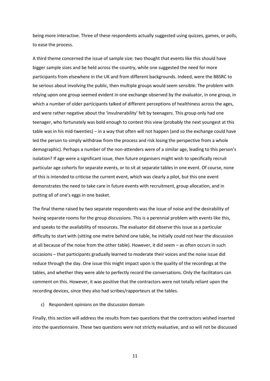being more interactive. Three of these respondents actually suggested using quizzes, games, or polls, to ease the process.

A third theme concerned the issue of sample size: two thought that events like this should have bigger sample sizes and be held across the country, while one suggested the need for more participants from elsewhere in the UK and from different backgrounds. Indeed, were the BBSRC to be serious about involving the public, then multiple groups would seem sensible. The problem with relying upon one group seemed evident in one exchange observed by the evaluator, in one group, in which a number of older participants talked of different perceptions of healthiness across the ages, and were rather negative about the 'invulnerability' felt by teenagers. This group only had one teenager, who fortunately was bold enough to contest this view (probably the next youngest at this table was in his mid-twenties) – in a way that often will not happen (and so the exchange could have led the person to simply withdraw from the process and risk losing the perspective from a whole demographic). Perhaps a number of the non-attenders were of a similar age, leading to this person's isolation? If age were a significant issue, then future organisers might wish to specifically recruit particular age cohorts for separate events, or to sit at separate tables in one event. Of course, none of this is intended to criticise the current event, which was clearly a pilot, but this one event demonstrates the need to take care in future events with recruitment, group allocation, and in putting all of one's eggs in one basket.

The final theme raised by two separate respondents was the issue of noise and the desirability of having separate rooms for the group discussions. This is a perennial problem with events like this, and speaks to the availability of resources. The evaluator did observe this issue as a particular difficulty to start with (sitting one metre behind one table, he initially could not hear the discussion at all because of the noise from the other table). However, it did seem – as often occurs in such occasions – that participants gradually learned to moderate their voices and the noise issue did reduce through the day. One issue this might impact upon is the quality of the recordings at the tables, and whether they were able to perfectly record the conversations. Only the facilitators can comment on this. However, it was positive that the contractors were not totally reliant upon the recording devices, since they also had scribes/rapporteurs at the tables.

#### c) Respondent opinions on the discussion domain

Finally, this section will address the results from two questions that the contractors wished inserted into the questionnaire. These two questions were not strictly evaluative, and so will not be discussed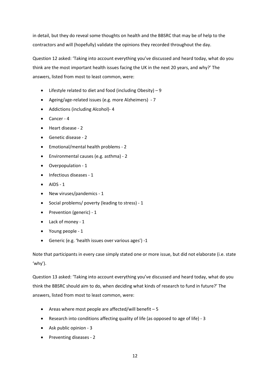in detail, but they do reveal some thoughts on health and the BBSRC that may be of help to the contractors and will (hopefully) validate the opinions they recorded throughout the day.

Question 12 asked: 'Taking into account everything you've discussed and heard today, what do you think are the most important health issues facing the UK in the next 20 years, and why?' The answers, listed from most to least common, were:

- Lifestyle related to diet and food (including Obesity) 9
- Ageing/age-related issues (e.g. more Alzheimers) 7
- Addictions (including Alcohol)- 4
- Cancer 4
- Heart disease 2
- Genetic disease 2
- Emotional/mental health problems 2
- Environmental causes (e.g. asthma) 2
- Overpopulation 1
- Infectious diseases 1
- $\bullet$  AIDS 1
- New viruses/pandemics 1
- Social problems/ poverty (leading to stress) 1
- Prevention (generic) 1
- Lack of money 1
- Young people 1
- Generic (e.g. 'health issues over various ages') -1

Note that participants in every case simply stated one or more issue, but did not elaborate (i.e. state 'why').

Question 13 asked: 'Taking into account everything you've discussed and heard today, what do you think the BBSRC should aim to do, when deciding what kinds of research to fund in future?' The answers, listed from most to least common, were:

- Areas where most people are affected/will benefit 5
- Research into conditions affecting quality of life (as opposed to age of life) 3
- Ask public opinion 3
- Preventing diseases 2